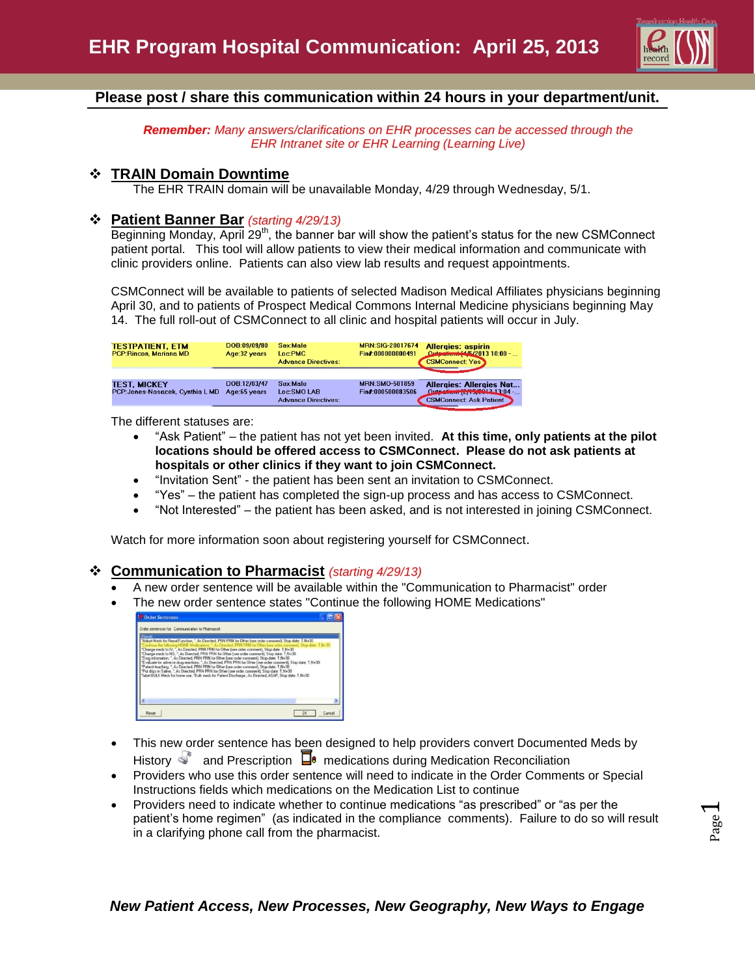

### **Please post / share this communication within 24 hours in your department/unit.**

*Remember: Many answers/clarifications on EHR processes can be accessed through the EHR Intranet site or EHR Learning (Learning Live)*

#### **TRAIN Domain Downtime**

The EHR TRAIN domain will be unavailable Monday, 4/29 through Wednesday, 5/1.

#### **Patient Banner Bar** *(starting 4/29/13)*

Beginning Monday, April 29<sup>th</sup>, the banner bar will show the patient's status for the new CSMConnect patient portal. This tool will allow patients to view their medical information and communicate with clinic providers online. Patients can also view lab results and request appointments.

CSMConnect will be available to patients of selected Madison Medical Affiliates physicians beginning April 30, and to patients of Prospect Medical Commons Internal Medicine physicians beginning May 14. The full roll-out of CSMConnect to all clinic and hospital patients will occur in July.

| <b>TESTPATIENT, ETM</b><br><b>PCP:Rincon, Mariana MD</b> | DOB:09/09/80<br>Age: 32 years | Sex:Male<br>Loc:PMC<br><b>Advance Directives:</b>     | <b>MRN:SIG-20017674</b><br>Fin#:000000000491 | <b>Allergies: aspirin</b><br>Quip attent [4/5/2013 10:00 -<br><b>CSMConnect: Yes</b>               |
|----------------------------------------------------------|-------------------------------|-------------------------------------------------------|----------------------------------------------|----------------------------------------------------------------------------------------------------|
| <b>TEST, MICKEY</b><br>PCP: Jones-Nosacek, Cynthia L MD  | DOB:12/03/47<br>Age:65 years  | Sex:Male<br>Loc:SMO LAB<br><b>Advance Directives:</b> | <b>MRN:SMO-501859</b><br>Fin#:000500083506   | <b>Allergies: Allergies Not</b><br>Outpatient [2/15/2012 13:04 -<br><b>CSMConnect: Ask Patient</b> |

The different statuses are:

- "Ask Patient" the patient has not yet been invited. **At this time, only patients at the pilot locations should be offered access to CSMConnect. Please do not ask patients at hospitals or other clinics if they want to join CSMConnect.**
- "Invitation Sent" the patient has been sent an invitation to CSMConnect.
- "Yes" the patient has completed the sign-up process and has access to CSMConnect.
- "Not Interested" the patient has been asked, and is not interested in joining CSMConnect.

Watch for more information soon about registering yourself for CSMConnect.

#### **Communication to Pharmacist** *(starting 4/29/13)*

- A new order sentence will be available within the "Communication to Pharmacist" order
- The new order sentence states "Continue the following HOME Medications"

| Order sentences for: Communication to Pharmacist |                                                                                                                                                                                                                                                                                                                                                                                                                                                                                                                                                                                                                                                                                                                                                                                                                                                                                                                                                      |  |
|--------------------------------------------------|------------------------------------------------------------------------------------------------------------------------------------------------------------------------------------------------------------------------------------------------------------------------------------------------------------------------------------------------------------------------------------------------------------------------------------------------------------------------------------------------------------------------------------------------------------------------------------------------------------------------------------------------------------------------------------------------------------------------------------------------------------------------------------------------------------------------------------------------------------------------------------------------------------------------------------------------------|--|
| Nonel                                            | "Adjust Meds for Renal Function, ". As Directed, PRN PRN for Other (see order comment), Stop date: T N+30<br>ontinue the following HOME Medications,". As Directed, PRN PRN for Other (see order comment), Stop date: T 14+30<br>Change med: to IV. ". As Directed. PRN PRN for Other (see order comment). Stop date: T.N+30<br>Change meds to NG. ". As Directed, PRN PRN for Other (see order comment). Stop date: T N+30<br>Drug information. " As Directed. PRN PRN for Other free order comment). Stop date: T N+30.<br>Evaluate for adverse drug reactions. ". As Directed. PRN PRN for Other (see order comment). Stop date: T.N+30<br>Patient teaching, ". As Directed, PRN PRN for Other (see order comment), Stop date: T N+30<br>"Put drips in Saline. ". As Directed. PRN PRN for Other (see order comment). Stop date: T N+30.<br>"label BULK Meds for home use, "Bulk meds for Patient Discharge, As Directed, ASAP, Stop date: T.N+30 |  |
|                                                  |                                                                                                                                                                                                                                                                                                                                                                                                                                                                                                                                                                                                                                                                                                                                                                                                                                                                                                                                                      |  |

- This new order sentence has been designed to help providers convert Documented Meds by History  $\mathbb{S}^{\circ}$  and Prescription  $\Box^{\bullet}$  medications during Medication Reconciliation
- Providers who use this order sentence will need to indicate in the Order Comments or Special Instructions fields which medications on the Medication List to continue
- Providers need to indicate whether to continue medications "as prescribed" or "as per the patient's home regimen" (as indicated in the compliance comments). Failure to do so will result in a clarifying phone call from the pharmacist.

## *New Patient Access, New Processes, New Geography, New Ways to Engage*